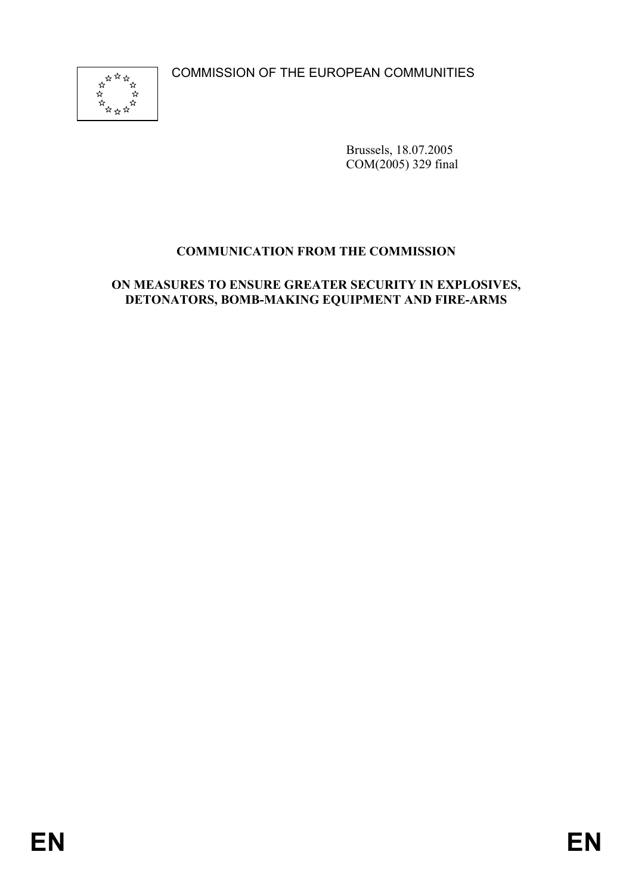COMMISSION OF THE EUROPEAN COMMUNITIES



Brussels, 18.07.2005 COM(2005) 329 final

# **COMMUNICATION FROM THE COMMISSION**

#### **ON MEASURES TO ENSURE GREATER SECURITY IN EXPLOSIVES, DETONATORS, BOMB-MAKING EQUIPMENT AND FIRE-ARMS**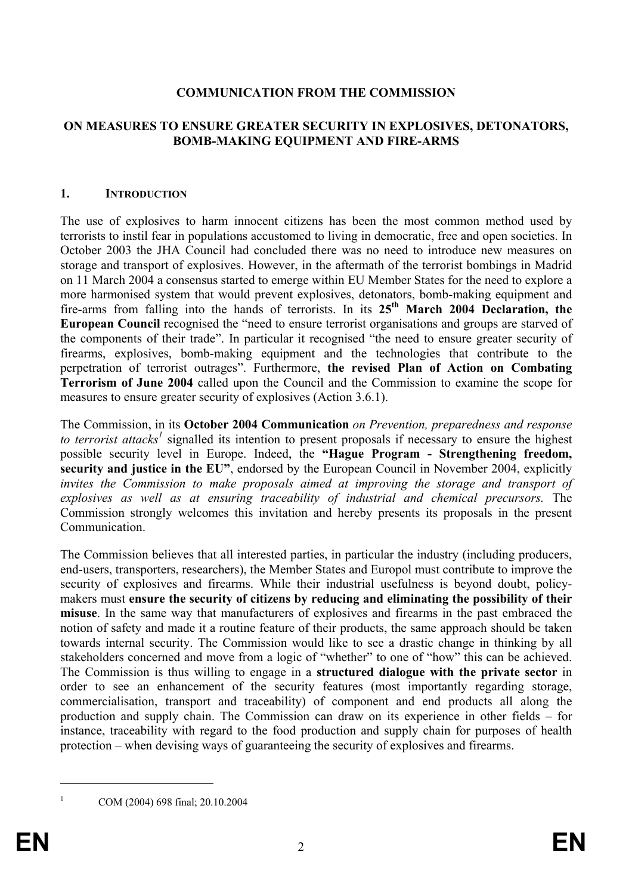#### **COMMUNICATION FROM THE COMMISSION**

#### **ON MEASURES TO ENSURE GREATER SECURITY IN EXPLOSIVES, DETONATORS, BOMB-MAKING EQUIPMENT AND FIRE-ARMS**

#### **1. INTRODUCTION**

The use of explosives to harm innocent citizens has been the most common method used by terrorists to instil fear in populations accustomed to living in democratic, free and open societies. In October 2003 the JHA Council had concluded there was no need to introduce new measures on storage and transport of explosives. However, in the aftermath of the terrorist bombings in Madrid on 11 March 2004 a consensus started to emerge within EU Member States for the need to explore a more harmonised system that would prevent explosives, detonators, bomb-making equipment and fire-arms from falling into the hands of terrorists. In its **25th March 2004 Declaration, the European Council** recognised the "need to ensure terrorist organisations and groups are starved of the components of their trade". In particular it recognised "the need to ensure greater security of firearms, explosives, bomb-making equipment and the technologies that contribute to the perpetration of terrorist outrages". Furthermore, **the revised Plan of Action on Combating Terrorism of June 2004** called upon the Council and the Commission to examine the scope for measures to ensure greater security of explosives (Action 3.6.1).

The Commission, in its **October 2004 Communication** *on Prevention, preparedness and response*  to terrorist attacks<sup>1</sup> signalled its intention to present proposals if necessary to ensure the highest possible security level in Europe. Indeed, the **"Hague Program - Strengthening freedom, security and justice in the EU"**, endorsed by the European Council in November 2004, explicitly *invites the Commission to make proposals aimed at improving the storage and transport of explosives as well as at ensuring traceability of industrial and chemical precursors.* The Commission strongly welcomes this invitation and hereby presents its proposals in the present Communication.

The Commission believes that all interested parties, in particular the industry (including producers, end-users, transporters, researchers), the Member States and Europol must contribute to improve the security of explosives and firearms. While their industrial usefulness is beyond doubt, policymakers must **ensure the security of citizens by reducing and eliminating the possibility of their misuse**. In the same way that manufacturers of explosives and firearms in the past embraced the notion of safety and made it a routine feature of their products, the same approach should be taken towards internal security. The Commission would like to see a drastic change in thinking by all stakeholders concerned and move from a logic of "whether" to one of "how" this can be achieved. The Commission is thus willing to engage in a **structured dialogue with the private sector** in order to see an enhancement of the security features (most importantly regarding storage, commercialisation, transport and traceability) of component and end products all along the production and supply chain. The Commission can draw on its experience in other fields – for instance, traceability with regard to the food production and supply chain for purposes of health protection – when devising ways of guaranteeing the security of explosives and firearms.

COM (2004) 698 final; 20.10.2004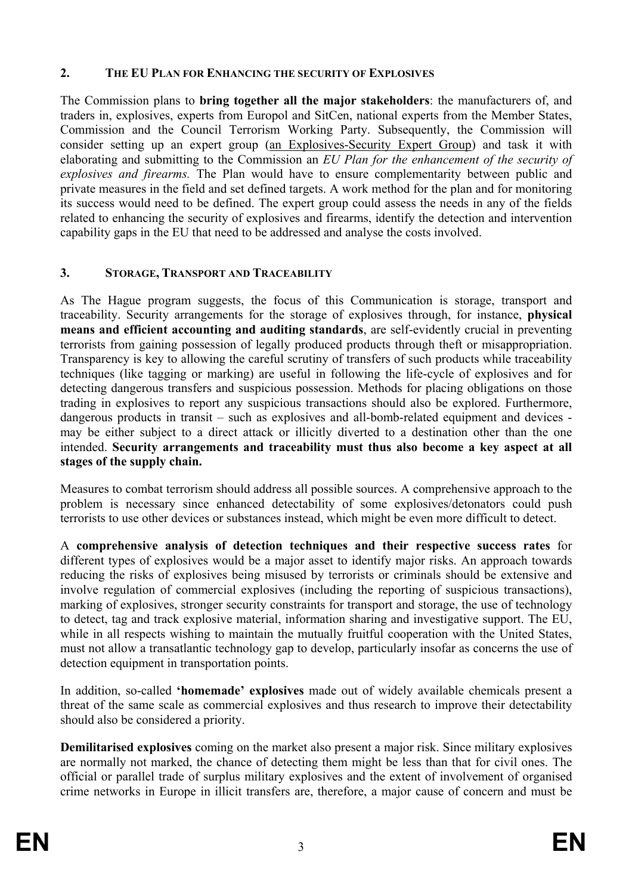#### **2. THE EU PLAN FOR ENHANCING THE SECURITY OF EXPLOSIVES**

The Commission plans to **bring together all the major stakeholders**: the manufacturers of, and traders in, explosives, experts from Europol and SitCen, national experts from the Member States, Commission and the Council Terrorism Working Party. Subsequently, the Commission will consider setting up an expert group (an Explosives-Security Expert Group) and task it with elaborating and submitting to the Commission an *EU Plan for the enhancement of the security of explosives and firearms.* The Plan would have to ensure complementarity between public and private measures in the field and set defined targets. A work method for the plan and for monitoring its success would need to be defined. The expert group could assess the needs in any of the fields related to enhancing the security of explosives and firearms, identify the detection and intervention capability gaps in the EU that need to be addressed and analyse the costs involved.

### **3. STORAGE, TRANSPORT AND TRACEABILITY**

As The Hague program suggests, the focus of this Communication is storage, transport and traceability. Security arrangements for the storage of explosives through, for instance, **physical means and efficient accounting and auditing standards**, are self-evidently crucial in preventing terrorists from gaining possession of legally produced products through theft or misappropriation. Transparency is key to allowing the careful scrutiny of transfers of such products while traceability techniques (like tagging or marking) are useful in following the life-cycle of explosives and for detecting dangerous transfers and suspicious possession. Methods for placing obligations on those trading in explosives to report any suspicious transactions should also be explored. Furthermore, dangerous products in transit – such as explosives and all-bomb-related equipment and devices may be either subject to a direct attack or illicitly diverted to a destination other than the one intended. **Security arrangements and traceability must thus also become a key aspect at all stages of the supply chain.**

Measures to combat terrorism should address all possible sources. A comprehensive approach to the problem is necessary since enhanced detectability of some explosives/detonators could push terrorists to use other devices or substances instead, which might be even more difficult to detect.

A **comprehensive analysis of detection techniques and their respective success rates** for different types of explosives would be a major asset to identify major risks. An approach towards reducing the risks of explosives being misused by terrorists or criminals should be extensive and involve regulation of commercial explosives (including the reporting of suspicious transactions), marking of explosives, stronger security constraints for transport and storage, the use of technology to detect, tag and track explosive material, information sharing and investigative support. The EU, while in all respects wishing to maintain the mutually fruitful cooperation with the United States, must not allow a transatlantic technology gap to develop, particularly insofar as concerns the use of detection equipment in transportation points.

In addition, so-called **'homemade' explosives** made out of widely available chemicals present a threat of the same scale as commercial explosives and thus research to improve their detectability should also be considered a priority.

**Demilitarised explosives** coming on the market also present a major risk. Since military explosives are normally not marked, the chance of detecting them might be less than that for civil ones. The official or parallel trade of surplus military explosives and the extent of involvement of organised crime networks in Europe in illicit transfers are, therefore, a major cause of concern and must be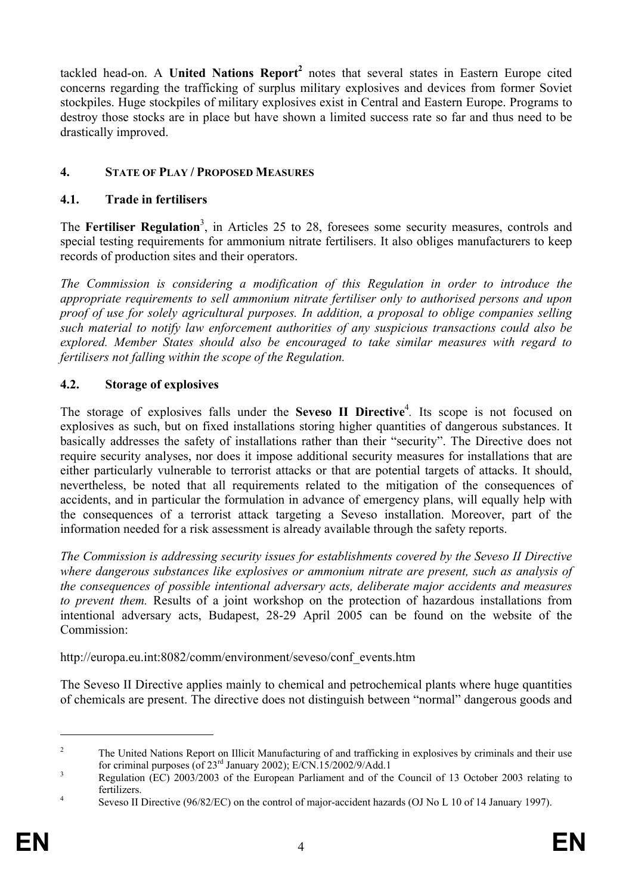tackled head-on. A **United Nations Report<sup>2</sup>** notes that several states in Eastern Europe cited concerns regarding the trafficking of surplus military explosives and devices from former Soviet stockpiles. Huge stockpiles of military explosives exist in Central and Eastern Europe. Programs to destroy those stocks are in place but have shown a limited success rate so far and thus need to be drastically improved.

## **4. STATE OF PLAY / PROPOSED MEASURES**

#### **4.1. Trade in fertilisers**

The Fertiliser Regulation<sup>3</sup>, in Articles 25 to 28, foresees some security measures, controls and special testing requirements for ammonium nitrate fertilisers. It also obliges manufacturers to keep records of production sites and their operators.

*The Commission is considering a modification of this Regulation in order to introduce the appropriate requirements to sell ammonium nitrate fertiliser only to authorised persons and upon proof of use for solely agricultural purposes. In addition, a proposal to oblige companies selling such material to notify law enforcement authorities of any suspicious transactions could also be explored. Member States should also be encouraged to take similar measures with regard to fertilisers not falling within the scope of the Regulation.* 

### **4.2. Storage of explosives**

The storage of explosives falls under the **Seveso II Directive**<sup>4</sup>. Its scope is not focused on explosives as such, but on fixed installations storing higher quantities of dangerous substances. It basically addresses the safety of installations rather than their "security". The Directive does not require security analyses, nor does it impose additional security measures for installations that are either particularly vulnerable to terrorist attacks or that are potential targets of attacks. It should, nevertheless, be noted that all requirements related to the mitigation of the consequences of accidents, and in particular the formulation in advance of emergency plans, will equally help with the consequences of a terrorist attack targeting a Seveso installation. Moreover, part of the information needed for a risk assessment is already available through the safety reports.

*The Commission is addressing security issues for establishments covered by the Seveso II Directive where dangerous substances like explosives or ammonium nitrate are present, such as analysis of the consequences of possible intentional adversary acts, deliberate major accidents and measures to prevent them.* Results of a joint workshop on the protection of hazardous installations from intentional adversary acts, Budapest, 28-29 April 2005 can be found on the website of the Commission:

http://europa.eu.int:8082/comm/environment/seveso/conf\_events.htm

The Seveso II Directive applies mainly to chemical and petrochemical plants where huge quantities of chemicals are present. The directive does not distinguish between "normal" dangerous goods and

<sup>2</sup> The United Nations Report on Illicit Manufacturing of and trafficking in explosives by criminals and their use for criminal purposes (of  $23^{\text{rd}}$  January 2002); E/CN.15/2002/9/Add.1

Regulation (EC) 2003/2003 of the European Parliament and of the Council of 13 October 2003 relating to fertilizers. 4

Seveso II Directive (96/82/EC) on the control of major-accident hazards (OJ No L 10 of 14 January 1997).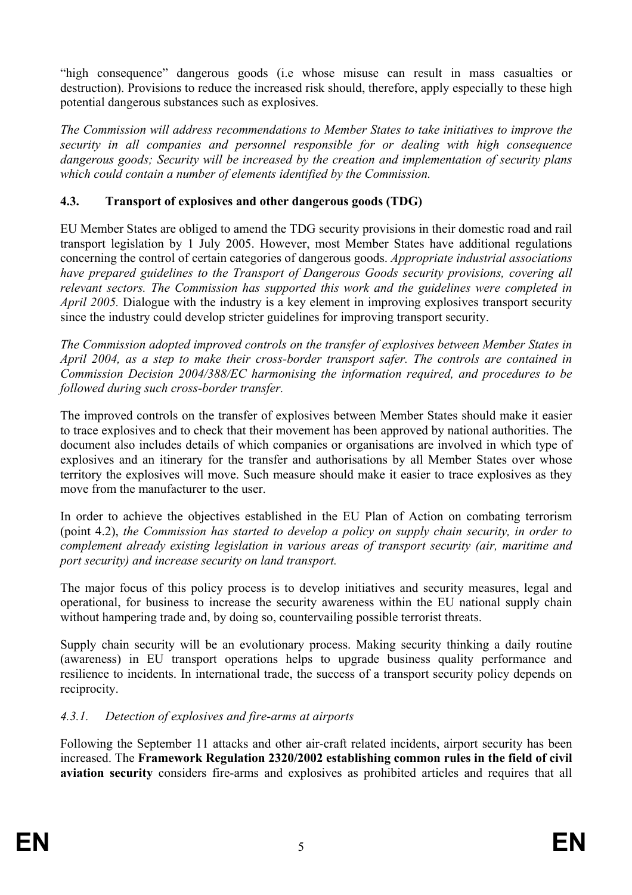"high consequence" dangerous goods (i.e whose misuse can result in mass casualties or destruction). Provisions to reduce the increased risk should, therefore, apply especially to these high potential dangerous substances such as explosives.

*The Commission will address recommendations to Member States to take initiatives to improve the security in all companies and personnel responsible for or dealing with high consequence dangerous goods; Security will be increased by the creation and implementation of security plans which could contain a number of elements identified by the Commission.* 

## **4.3. Transport of explosives and other dangerous goods (TDG)**

EU Member States are obliged to amend the TDG security provisions in their domestic road and rail transport legislation by 1 July 2005. However, most Member States have additional regulations concerning the control of certain categories of dangerous goods. *Appropriate industrial associations have prepared guidelines to the Transport of Dangerous Goods security provisions, covering all relevant sectors. The Commission has supported this work and the guidelines were completed in April 2005.* Dialogue with the industry is a key element in improving explosives transport security since the industry could develop stricter guidelines for improving transport security.

*The Commission adopted improved controls on the transfer of explosives between Member States in April 2004, as a step to make their cross-border transport safer. The controls are contained in Commission Decision 2004/388/EC harmonising the information required, and procedures to be followed during such cross-border transfer.* 

The improved controls on the transfer of explosives between Member States should make it easier to trace explosives and to check that their movement has been approved by national authorities. The document also includes details of which companies or organisations are involved in which type of explosives and an itinerary for the transfer and authorisations by all Member States over whose territory the explosives will move. Such measure should make it easier to trace explosives as they move from the manufacturer to the user.

In order to achieve the objectives established in the EU Plan of Action on combating terrorism (point 4.2), *the Commission has started to develop a policy on supply chain security, in order to complement already existing legislation in various areas of transport security (air, maritime and port security) and increase security on land transport.* 

The major focus of this policy process is to develop initiatives and security measures, legal and operational, for business to increase the security awareness within the EU national supply chain without hampering trade and, by doing so, countervailing possible terrorist threats.

Supply chain security will be an evolutionary process. Making security thinking a daily routine (awareness) in EU transport operations helps to upgrade business quality performance and resilience to incidents. In international trade, the success of a transport security policy depends on reciprocity.

### *4.3.1. Detection of explosives and fire-arms at airports*

Following the September 11 attacks and other air-craft related incidents, airport security has been increased. The **Framework Regulation 2320/2002 establishing common rules in the field of civil aviation security** considers fire-arms and explosives as prohibited articles and requires that all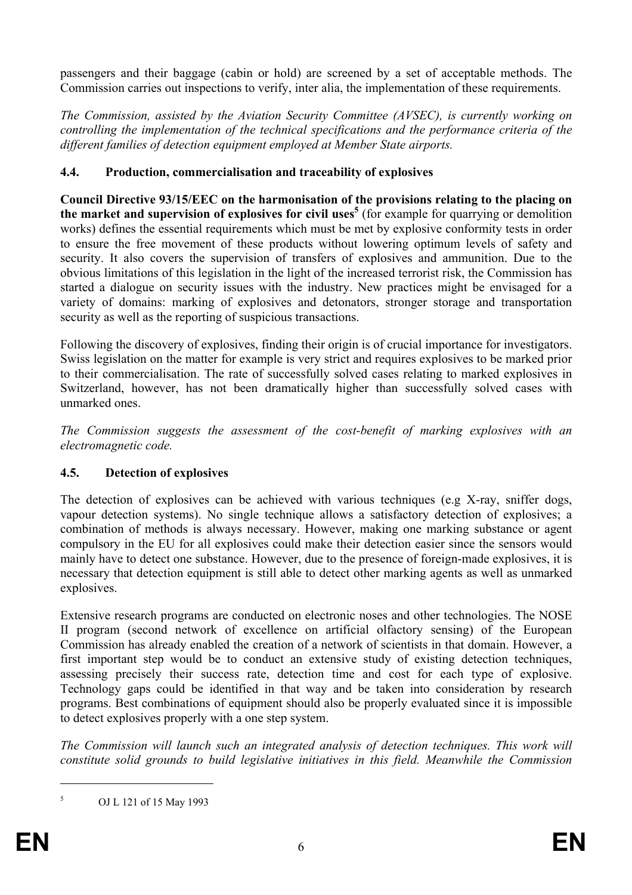passengers and their baggage (cabin or hold) are screened by a set of acceptable methods. The Commission carries out inspections to verify, inter alia, the implementation of these requirements.

*The Commission, assisted by the Aviation Security Committee (AVSEC), is currently working on controlling the implementation of the technical specifications and the performance criteria of the different families of detection equipment employed at Member State airports.* 

### **4.4. Production, commercialisation and traceability of explosives**

**Council Directive 93/15/EEC on the harmonisation of the provisions relating to the placing on**  the market and supervision of explosives for civil uses<sup>5</sup> (for example for quarrying or demolition works) defines the essential requirements which must be met by explosive conformity tests in order to ensure the free movement of these products without lowering optimum levels of safety and security. It also covers the supervision of transfers of explosives and ammunition. Due to the obvious limitations of this legislation in the light of the increased terrorist risk, the Commission has started a dialogue on security issues with the industry. New practices might be envisaged for a variety of domains: marking of explosives and detonators, stronger storage and transportation security as well as the reporting of suspicious transactions.

Following the discovery of explosives, finding their origin is of crucial importance for investigators. Swiss legislation on the matter for example is very strict and requires explosives to be marked prior to their commercialisation. The rate of successfully solved cases relating to marked explosives in Switzerland, however, has not been dramatically higher than successfully solved cases with unmarked ones.

*The Commission suggests the assessment of the cost-benefit of marking explosives with an electromagnetic code.*

# **4.5. Detection of explosives**

The detection of explosives can be achieved with various techniques (e.g X-ray, sniffer dogs, vapour detection systems). No single technique allows a satisfactory detection of explosives; a combination of methods is always necessary. However, making one marking substance or agent compulsory in the EU for all explosives could make their detection easier since the sensors would mainly have to detect one substance. However, due to the presence of foreign-made explosives, it is necessary that detection equipment is still able to detect other marking agents as well as unmarked explosives.

Extensive research programs are conducted on electronic noses and other technologies. The NOSE II program (second network of excellence on artificial olfactory sensing) of the European Commission has already enabled the creation of a network of scientists in that domain. However, a first important step would be to conduct an extensive study of existing detection techniques, assessing precisely their success rate, detection time and cost for each type of explosive. Technology gaps could be identified in that way and be taken into consideration by research programs. Best combinations of equipment should also be properly evaluated since it is impossible to detect explosives properly with a one step system.

*The Commission will launch such an integrated analysis of detection techniques. This work will constitute solid grounds to build legislative initiatives in this field. Meanwhile the Commission* 

OJ L 121 of 15 May 1993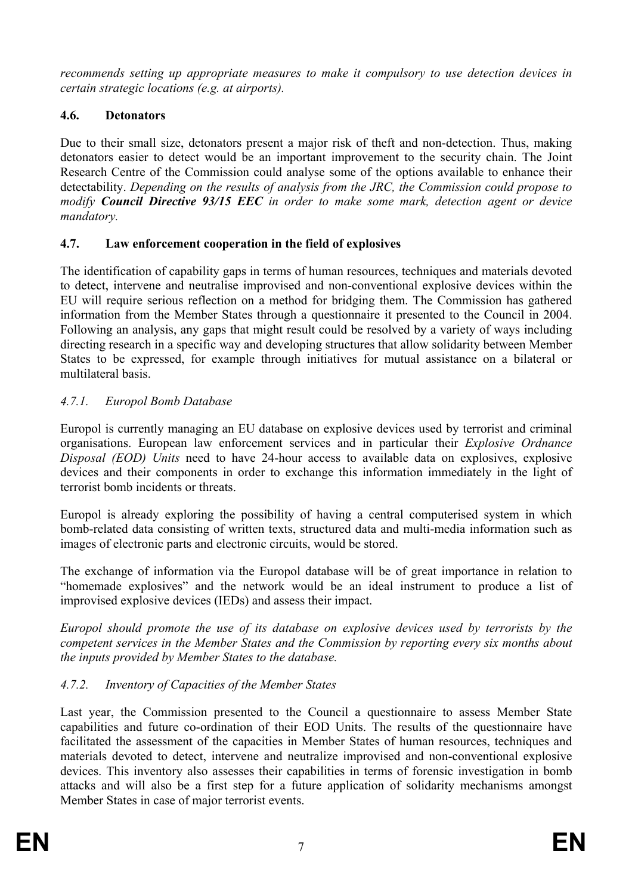*recommends setting up appropriate measures to make it compulsory to use detection devices in certain strategic locations (e.g. at airports).* 

## **4.6. Detonators**

Due to their small size, detonators present a major risk of theft and non-detection. Thus, making detonators easier to detect would be an important improvement to the security chain. The Joint Research Centre of the Commission could analyse some of the options available to enhance their detectability. *Depending on the results of analysis from the JRC, the Commission could propose to modify Council Directive 93/15 EEC in order to make some mark, detection agent or device mandatory.* 

## **4.7. Law enforcement cooperation in the field of explosives**

The identification of capability gaps in terms of human resources, techniques and materials devoted to detect, intervene and neutralise improvised and non-conventional explosive devices within the EU will require serious reflection on a method for bridging them. The Commission has gathered information from the Member States through a questionnaire it presented to the Council in 2004. Following an analysis, any gaps that might result could be resolved by a variety of ways including directing research in a specific way and developing structures that allow solidarity between Member States to be expressed, for example through initiatives for mutual assistance on a bilateral or multilateral basis.

## *4.7.1. Europol Bomb Database*

Europol is currently managing an EU database on explosive devices used by terrorist and criminal organisations. European law enforcement services and in particular their *Explosive Ordnance Disposal (EOD) Units* need to have 24-hour access to available data on explosives, explosive devices and their components in order to exchange this information immediately in the light of terrorist bomb incidents or threats.

Europol is already exploring the possibility of having a central computerised system in which bomb-related data consisting of written texts, structured data and multi-media information such as images of electronic parts and electronic circuits, would be stored.

The exchange of information via the Europol database will be of great importance in relation to "homemade explosives" and the network would be an ideal instrument to produce a list of improvised explosive devices (IEDs) and assess their impact.

*Europol should promote the use of its database on explosive devices used by terrorists by the competent services in the Member States and the Commission by reporting every six months about the inputs provided by Member States to the database.* 

# *4.7.2. Inventory of Capacities of the Member States*

Last year, the Commission presented to the Council a questionnaire to assess Member State capabilities and future co-ordination of their EOD Units. The results of the questionnaire have facilitated the assessment of the capacities in Member States of human resources, techniques and materials devoted to detect, intervene and neutralize improvised and non-conventional explosive devices. This inventory also assesses their capabilities in terms of forensic investigation in bomb attacks and will also be a first step for a future application of solidarity mechanisms amongst Member States in case of major terrorist events.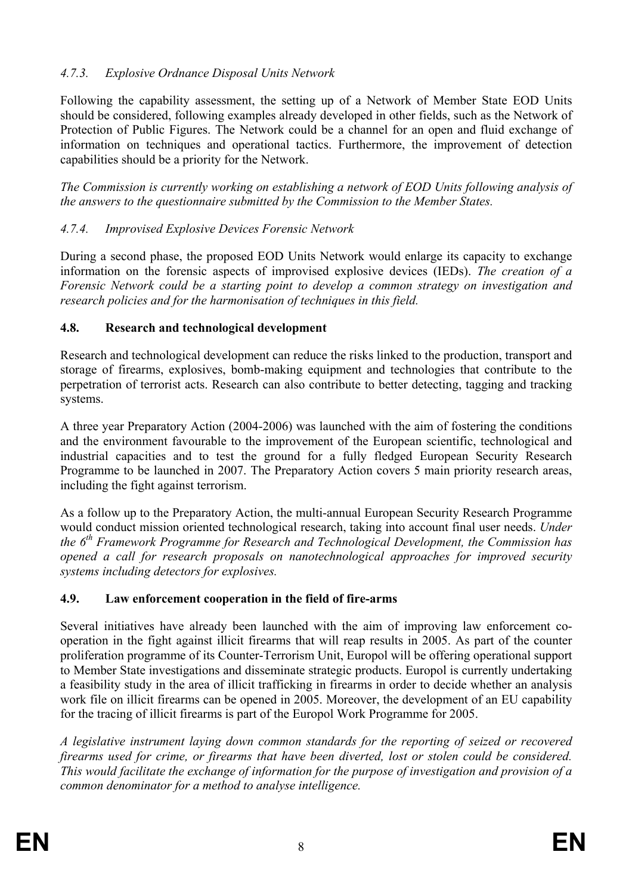## *4.7.3. Explosive Ordnance Disposal Units Network*

Following the capability assessment, the setting up of a Network of Member State EOD Units should be considered, following examples already developed in other fields, such as the Network of Protection of Public Figures. The Network could be a channel for an open and fluid exchange of information on techniques and operational tactics. Furthermore, the improvement of detection capabilities should be a priority for the Network.

*The Commission is currently working on establishing a network of EOD Units following analysis of the answers to the questionnaire submitted by the Commission to the Member States.* 

## *4.7.4. Improvised Explosive Devices Forensic Network*

During a second phase, the proposed EOD Units Network would enlarge its capacity to exchange information on the forensic aspects of improvised explosive devices (IEDs). *The creation of a Forensic Network could be a starting point to develop a common strategy on investigation and research policies and for the harmonisation of techniques in this field.* 

### **4.8. Research and technological development**

Research and technological development can reduce the risks linked to the production, transport and storage of firearms, explosives, bomb-making equipment and technologies that contribute to the perpetration of terrorist acts. Research can also contribute to better detecting, tagging and tracking systems.

A three year Preparatory Action (2004-2006) was launched with the aim of fostering the conditions and the environment favourable to the improvement of the European scientific, technological and industrial capacities and to test the ground for a fully fledged European Security Research Programme to be launched in 2007. The Preparatory Action covers 5 main priority research areas, including the fight against terrorism.

As a follow up to the Preparatory Action, the multi-annual European Security Research Programme would conduct mission oriented technological research, taking into account final user needs. *Under the 6th Framework Programme for Research and Technological Development, the Commission has opened a call for research proposals on nanotechnological approaches for improved security systems including detectors for explosives.* 

### **4.9. Law enforcement cooperation in the field of fire-arms**

Several initiatives have already been launched with the aim of improving law enforcement cooperation in the fight against illicit firearms that will reap results in 2005. As part of the counter proliferation programme of its Counter-Terrorism Unit, Europol will be offering operational support to Member State investigations and disseminate strategic products. Europol is currently undertaking a feasibility study in the area of illicit trafficking in firearms in order to decide whether an analysis work file on illicit firearms can be opened in 2005. Moreover, the development of an EU capability for the tracing of illicit firearms is part of the Europol Work Programme for 2005.

*A legislative instrument laying down common standards for the reporting of seized or recovered firearms used for crime, or firearms that have been diverted, lost or stolen could be considered. This would facilitate the exchange of information for the purpose of investigation and provision of a common denominator for a method to analyse intelligence.*